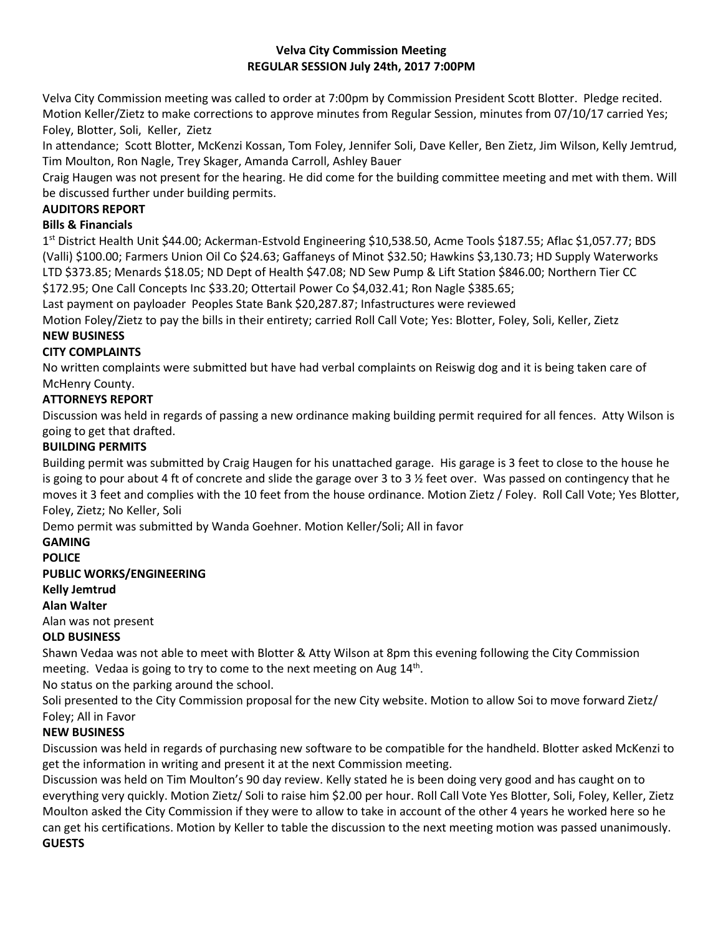## **Velva City Commission Meeting REGULAR SESSION July 24th, 2017 7:00PM**

Velva City Commission meeting was called to order at 7:00pm by Commission President Scott Blotter. Pledge recited. Motion Keller/Zietz to make corrections to approve minutes from Regular Session, minutes from 07/10/17 carried Yes; Foley, Blotter, Soli, Keller, Zietz

In attendance; Scott Blotter, McKenzi Kossan, Tom Foley, Jennifer Soli, Dave Keller, Ben Zietz, Jim Wilson, Kelly Jemtrud, Tim Moulton, Ron Nagle, Trey Skager, Amanda Carroll, Ashley Bauer

Craig Haugen was not present for the hearing. He did come for the building committee meeting and met with them. Will be discussed further under building permits.

# **AUDITORS REPORT**

### **Bills & Financials**

1 st District Health Unit \$44.00; Ackerman-Estvold Engineering \$10,538.50, Acme Tools \$187.55; Aflac \$1,057.77; BDS (Valli) \$100.00; Farmers Union Oil Co \$24.63; Gaffaneys of Minot \$32.50; Hawkins \$3,130.73; HD Supply Waterworks LTD \$373.85; Menards \$18.05; ND Dept of Health \$47.08; ND Sew Pump & Lift Station \$846.00; Northern Tier CC \$172.95; One Call Concepts Inc \$33.20; Ottertail Power Co \$4,032.41; Ron Nagle \$385.65;

Last payment on payloader Peoples State Bank \$20,287.87; Infastructures were reviewed

Motion Foley/Zietz to pay the bills in their entirety; carried Roll Call Vote; Yes: Blotter, Foley, Soli, Keller, Zietz

# **NEW BUSINESS**

#### **CITY COMPLAINTS**

No written complaints were submitted but have had verbal complaints on Reiswig dog and it is being taken care of McHenry County.

# **ATTORNEYS REPORT**

Discussion was held in regards of passing a new ordinance making building permit required for all fences. Atty Wilson is going to get that drafted.

## **BUILDING PERMITS**

Building permit was submitted by Craig Haugen for his unattached garage. His garage is 3 feet to close to the house he is going to pour about 4 ft of concrete and slide the garage over 3 to 3  $\frac{1}{2}$  feet over. Was passed on contingency that he moves it 3 feet and complies with the 10 feet from the house ordinance. Motion Zietz / Foley. Roll Call Vote; Yes Blotter, Foley, Zietz; No Keller, Soli

Demo permit was submitted by Wanda Goehner. Motion Keller/Soli; All in favor

#### **GAMING**

**POLICE**

#### **PUBLIC WORKS/ENGINEERING**

**Kelly Jemtrud**

#### **Alan Walter**

Alan was not present

#### **OLD BUSINESS**

Shawn Vedaa was not able to meet with Blotter & Atty Wilson at 8pm this evening following the City Commission meeting. Vedaa is going to try to come to the next meeting on Aug  $14<sup>th</sup>$ .

No status on the parking around the school.

Soli presented to the City Commission proposal for the new City website. Motion to allow Soi to move forward Zietz/ Foley; All in Favor

# **NEW BUSINESS**

Discussion was held in regards of purchasing new software to be compatible for the handheld. Blotter asked McKenzi to get the information in writing and present it at the next Commission meeting.

Discussion was held on Tim Moulton's 90 day review. Kelly stated he is been doing very good and has caught on to everything very quickly. Motion Zietz/ Soli to raise him \$2.00 per hour. Roll Call Vote Yes Blotter, Soli, Foley, Keller, Zietz Moulton asked the City Commission if they were to allow to take in account of the other 4 years he worked here so he can get his certifications. Motion by Keller to table the discussion to the next meeting motion was passed unanimously. **GUESTS**